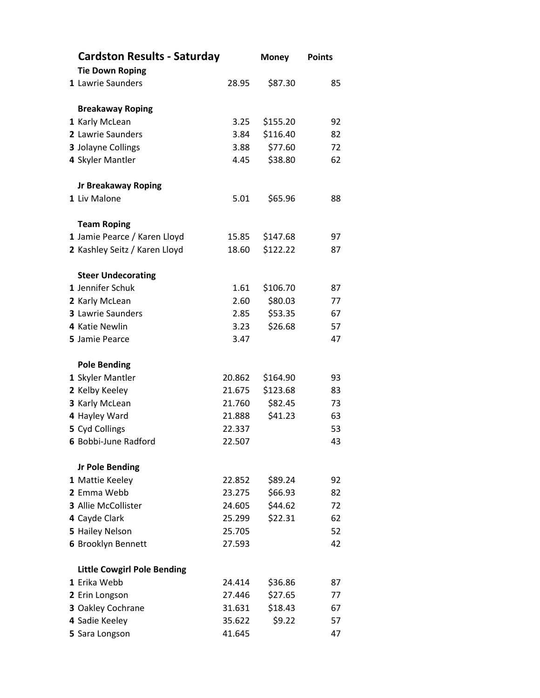| <b>Cardston Results - Saturday</b> |        | <b>Money</b> | <b>Points</b> |
|------------------------------------|--------|--------------|---------------|
| <b>Tie Down Roping</b>             |        |              |               |
| 1 Lawrie Saunders                  | 28.95  | \$87.30      | 85            |
| <b>Breakaway Roping</b>            |        |              |               |
| 1 Karly McLean                     | 3.25   | \$155.20     | 92            |
| 2 Lawrie Saunders                  | 3.84   | \$116.40     | 82            |
| 3 Jolayne Collings                 | 3.88   | \$77.60      | 72            |
| 4 Skyler Mantler                   | 4.45   | \$38.80      | 62            |
| <b>Jr Breakaway Roping</b>         |        |              |               |
| 1 Liv Malone                       | 5.01   | \$65.96      | 88            |
| <b>Team Roping</b>                 |        |              |               |
| 1 Jamie Pearce / Karen Lloyd       | 15.85  | \$147.68     | 97            |
| 2 Kashley Seitz / Karen Lloyd      | 18.60  | \$122.22     | 87            |
| <b>Steer Undecorating</b>          |        |              |               |
| 1 Jennifer Schuk                   | 1.61   | \$106.70     | 87            |
| 2 Karly McLean                     | 2.60   | \$80.03      | 77            |
| 3 Lawrie Saunders                  | 2.85   | \$53.35      | 67            |
| 4 Katie Newlin                     | 3.23   | \$26.68      | 57            |
| 5 Jamie Pearce                     | 3.47   |              | 47            |
| <b>Pole Bending</b>                |        |              |               |
| 1 Skyler Mantler                   | 20.862 | \$164.90     | 93            |
| 2 Kelby Keeley                     | 21.675 | \$123.68     | 83            |
| 3 Karly McLean                     | 21.760 | \$82.45      | 73            |
| 4 Hayley Ward                      | 21.888 | \$41.23      | 63            |
| 5 Cyd Collings                     | 22.337 |              | 53            |
| 6 Bobbi-June Radford               | 22.507 |              | 43            |
| <b>Jr Pole Bending</b>             |        |              |               |
| 1 Mattie Keeley                    | 22.852 | \$89.24      | 92            |
| 2 Emma Webb                        | 23.275 | \$66.93      | 82            |
| 3 Allie McCollister                | 24.605 | \$44.62      | 72            |
| 4 Cayde Clark                      | 25.299 | \$22.31      | 62            |
| 5 Hailey Nelson                    | 25.705 |              | 52            |
| 6 Brooklyn Bennett                 | 27.593 |              | 42            |
| <b>Little Cowgirl Pole Bending</b> |        |              |               |
| 1 Erika Webb                       | 24.414 | \$36.86      | 87            |
| 2 Erin Longson                     | 27.446 | \$27.65      | 77            |
| 3 Oakley Cochrane                  | 31.631 | \$18.43      | 67            |
| 4 Sadie Keeley                     | 35.622 | \$9.22       | 57            |
| 5 Sara Longson                     | 41.645 |              | 47            |